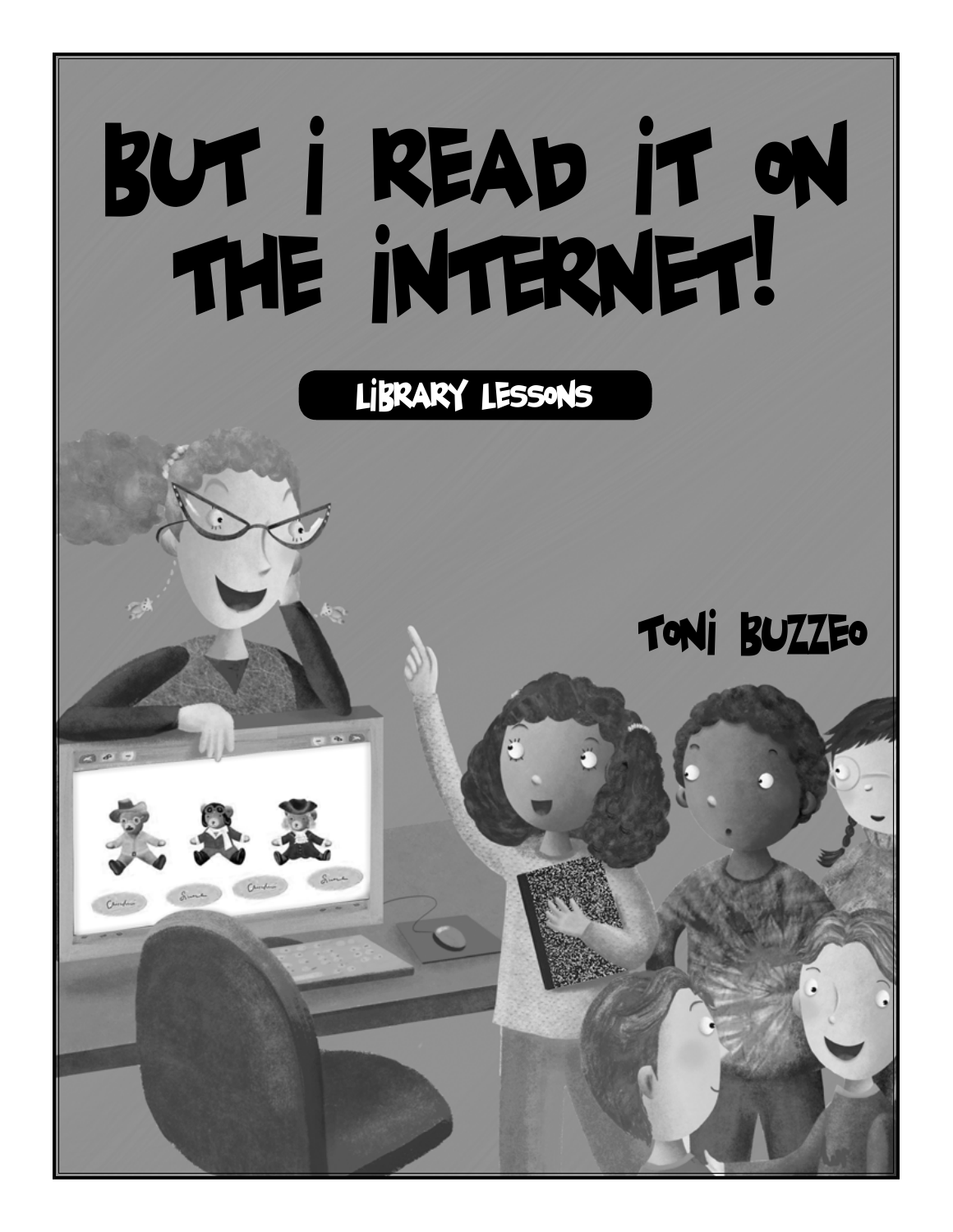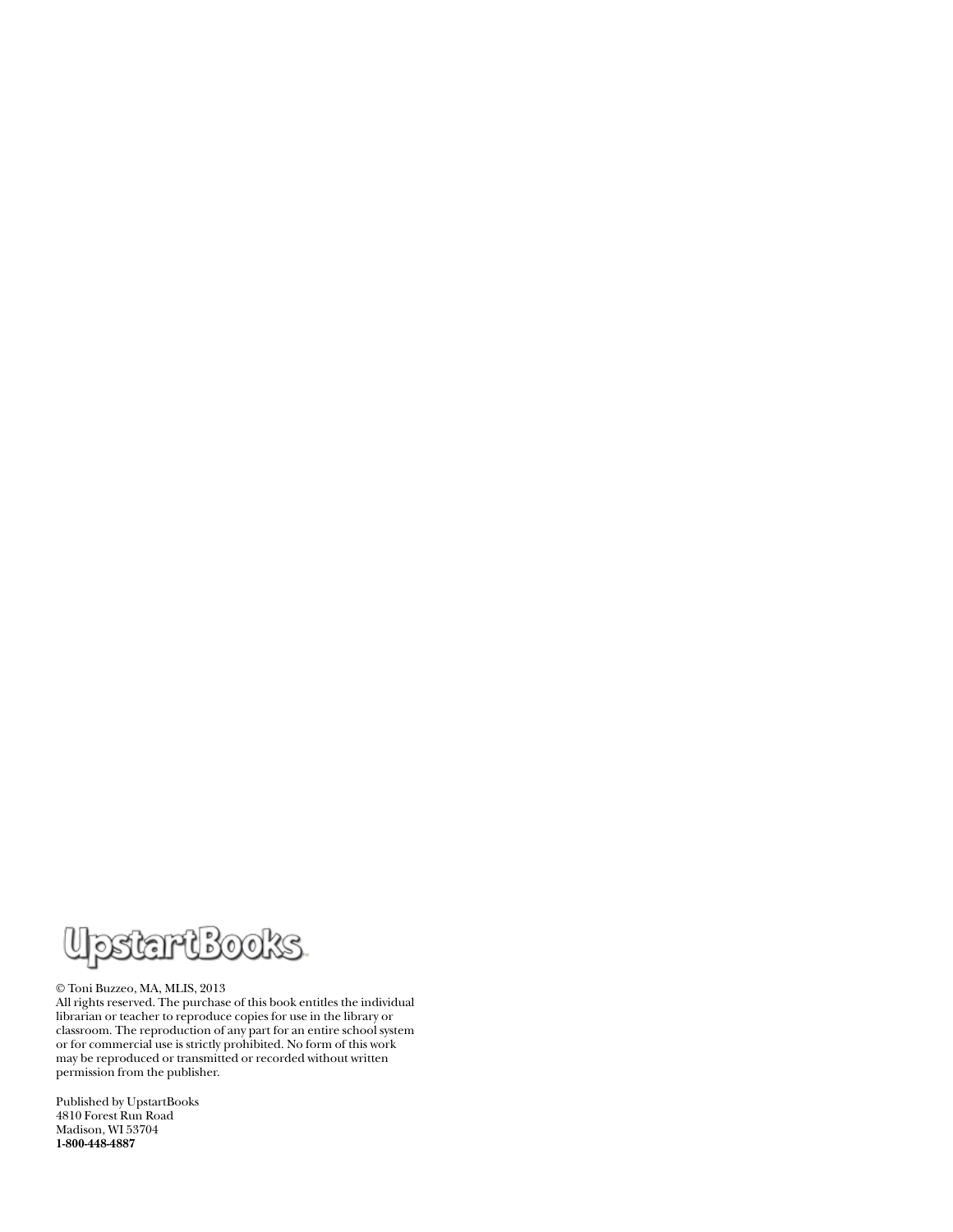

#### © Toni Buzzeo, MA, MLIS, 2013

All rights reserved. The purchase of this book entitles the individual librarian or teacher to reproduce copies for use in the library or classroom. The reproduction of any part for an entire school system or for commercial use is strictly prohibited. No form of this work may be reproduced or transmitted or recorded without written permission from the publisher.

Published by UpstartBooks 4810 Forest Run Road Madison, WI 53704 **1-800-448-4887**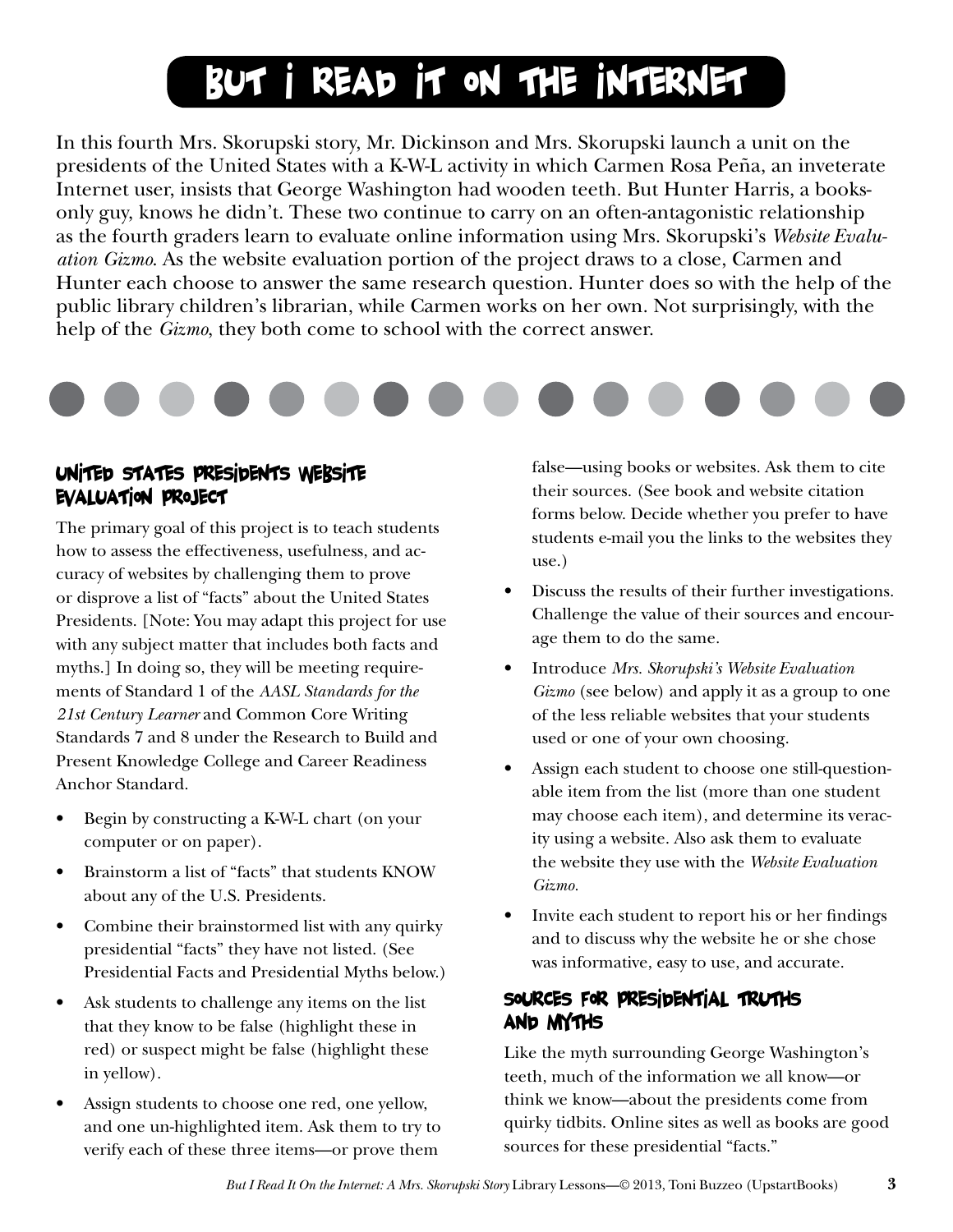# But I Read It On the Internet

In this fourth Mrs. Skorupski story, Mr. Dickinson and Mrs. Skorupski launch a unit on the presidents of the United States with a K-W-L activity in which Carmen Rosa Peña, an inveterate Internet user, insists that George Washington had wooden teeth. But Hunter Harris, a booksonly guy, knows he didn't. These two continue to carry on an often-antagonistic relationship as the fourth graders learn to evaluate online information using Mrs. Skorupski's *Website Evaluation Gizmo*. As the website evaluation portion of the project draws to a close, Carmen and Hunter each choose to answer the same research question. Hunter does so with the help of the public library children's librarian, while Carmen works on her own. Not surprisingly, with the help of the *Gizmo*, they both come to school with the correct answer.



#### United States Presidents Website Evaluation Project

The primary goal of this project is to teach students how to assess the effectiveness, usefulness, and accuracy of websites by challenging them to prove or disprove a list of "facts" about the United States Presidents. [Note: You may adapt this project for use with any subject matter that includes both facts and myths.] In doing so, they will be meeting requirements of Standard 1 of the *AASL Standards for the 21st Century Learner* and Common Core Writing Standards 7 and 8 under the Research to Build and Present Knowledge College and Career Readiness Anchor Standard.

- Begin by constructing a K-W-L chart (on your computer or on paper).
- Brainstorm a list of "facts" that students KNOW about any of the U.S. Presidents.
- Combine their brainstormed list with any quirky presidential "facts" they have not listed. (See Presidential Facts and Presidential Myths below.)
- Ask students to challenge any items on the list that they know to be false (highlight these in red) or suspect might be false (highlight these in yellow).
- Assign students to choose one red, one yellow, and one un-highlighted item. Ask them to try to verify each of these three items—or prove them

false—using books or websites. Ask them to cite their sources. (See book and website citation forms below. Decide whether you prefer to have students e-mail you the links to the websites they use.)

- Discuss the results of their further investigations. Challenge the value of their sources and encourage them to do the same.
- **•** Introduce *Mrs. Skorupski's Website Evaluation Gizmo* (see below) and apply it as a group to one of the less reliable websites that your students used or one of your own choosing.
- Assign each student to choose one still-questionable item from the list (more than one student may choose each item), and determine its veracity using a website. Also ask them to evaluate the website they use with the *Website Evaluation Gizmo.*
- Invite each student to report his or her findings and to discuss why the website he or she chose was informative, easy to use, and accurate.

#### Sources for Presidential Truths and Myths

Like the myth surrounding George Washington's teeth, much of the information we all know—or think we know—about the presidents come from quirky tidbits. Online sites as well as books are good sources for these presidential "facts."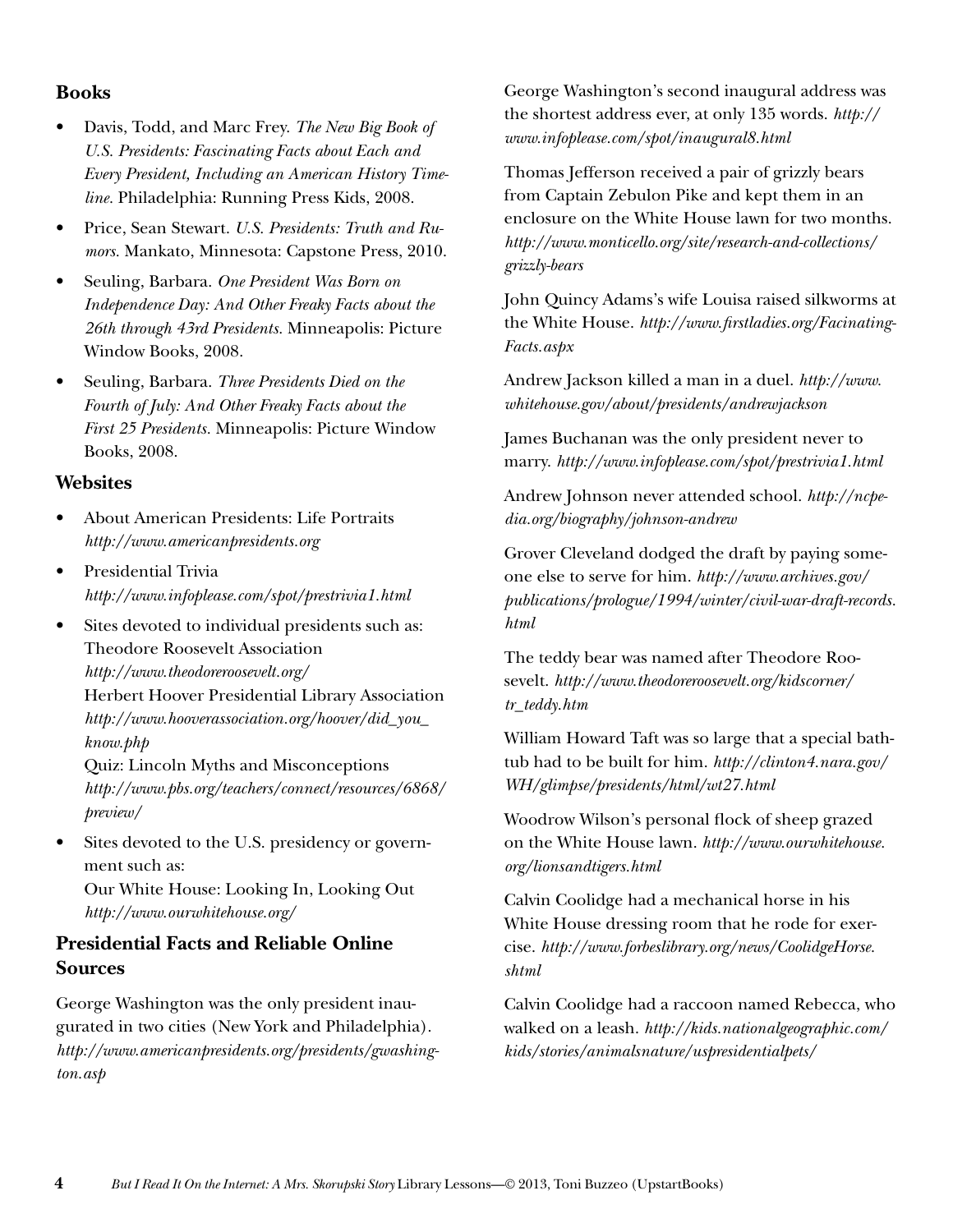#### **Books**

- Davis, Todd, and Marc Frey. The New Big Book of *U.S. Presidents: Fascinating Facts about Each and Every President, Including an American History Timeline.* Philadelphia: Running Press Kids, 2008.
- Price, Sean Stewart. U.S. Presidents: Truth and Ru*mors.* Mankato, Minnesota: Capstone Press, 2010.
- Seuling, Barbara. One President Was Born on *Independence Day: And Other Freaky Facts about the 26th through 43rd Presidents.* Minneapolis: Picture Window Books, 2008.
- Seuling, Barbara. Three Presidents Died on the *Fourth of July: And Other Freaky Facts about the First 25 Presidents.* Minneapolis: Picture Window Books, 2008.

#### **Websites**

- About American Presidents: Life Portraits *http://www.americanpresidents.org*
- Presidential Trivia *http://www.infoplease.com/spot/prestrivia1.html*
- Sites devoted to individual presidents such as: Theodore Roosevelt Association *http://www.theodoreroosevelt.org/* Herbert Hoover Presidential Library Association *http://www.hooverassociation.org/hoover/did\_you\_ know.php*

Quiz: Lincoln Myths and Misconceptions *http://www.pbs.org/teachers/connect/resources/6868/ preview/*

Sites devoted to the U.S. presidency or government such as:

Our White House: Looking In, Looking Out *http://www.ourwhitehouse.org/*

#### **Presidential Facts and Reliable Online Sources**

George Washington was the only president inaugurated in two cities (New York and Philadelphia). *http://www.americanpresidents.org/presidents/gwashington.asp*

George Washington's second inaugural address was the shortest address ever, at only 135 words. *http:// www.infoplease.com/spot/inaugural8.html*

Thomas Jefferson received a pair of grizzly bears from Captain Zebulon Pike and kept them in an enclosure on the White House lawn for two months. *http://www.monticello.org/site/research-and-collections/ grizzly-bears*

John Quincy Adams's wife Louisa raised silkworms at the White House. *http://www.firstladies.org/Facinating-Facts.aspx*

Andrew Jackson killed a man in a duel. *http://www. whitehouse.gov/about/presidents/andrewjackson*

James Buchanan was the only president never to marry. *http://www.infoplease.com/spot/prestrivia1.html*

Andrew Johnson never attended school. *http://ncpedia.org/biography/johnson-andrew*

Grover Cleveland dodged the draft by paying someone else to serve for him. *http://www.archives.gov/ publications/prologue/1994/winter/civil-war-draft-records. html*

The teddy bear was named after Theodore Roosevelt. *http://www.theodoreroosevelt.org/kidscorner/ tr\_teddy.htm*

William Howard Taft was so large that a special bathtub had to be built for him. *http://clinton4.nara.gov/ WH/glimpse/presidents/html/wt27.html*

Woodrow Wilson's personal flock of sheep grazed on the White House lawn. *http://www.ourwhitehouse. org/lionsandtigers.html*

Calvin Coolidge had a mechanical horse in his White House dressing room that he rode for exercise. *http://www.forbeslibrary.org/news/CoolidgeHorse. shtml*

Calvin Coolidge had a raccoon named Rebecca, who walked on a leash. *http://kids.nationalgeographic.com/ kids/stories/animalsnature/uspresidentialpets/*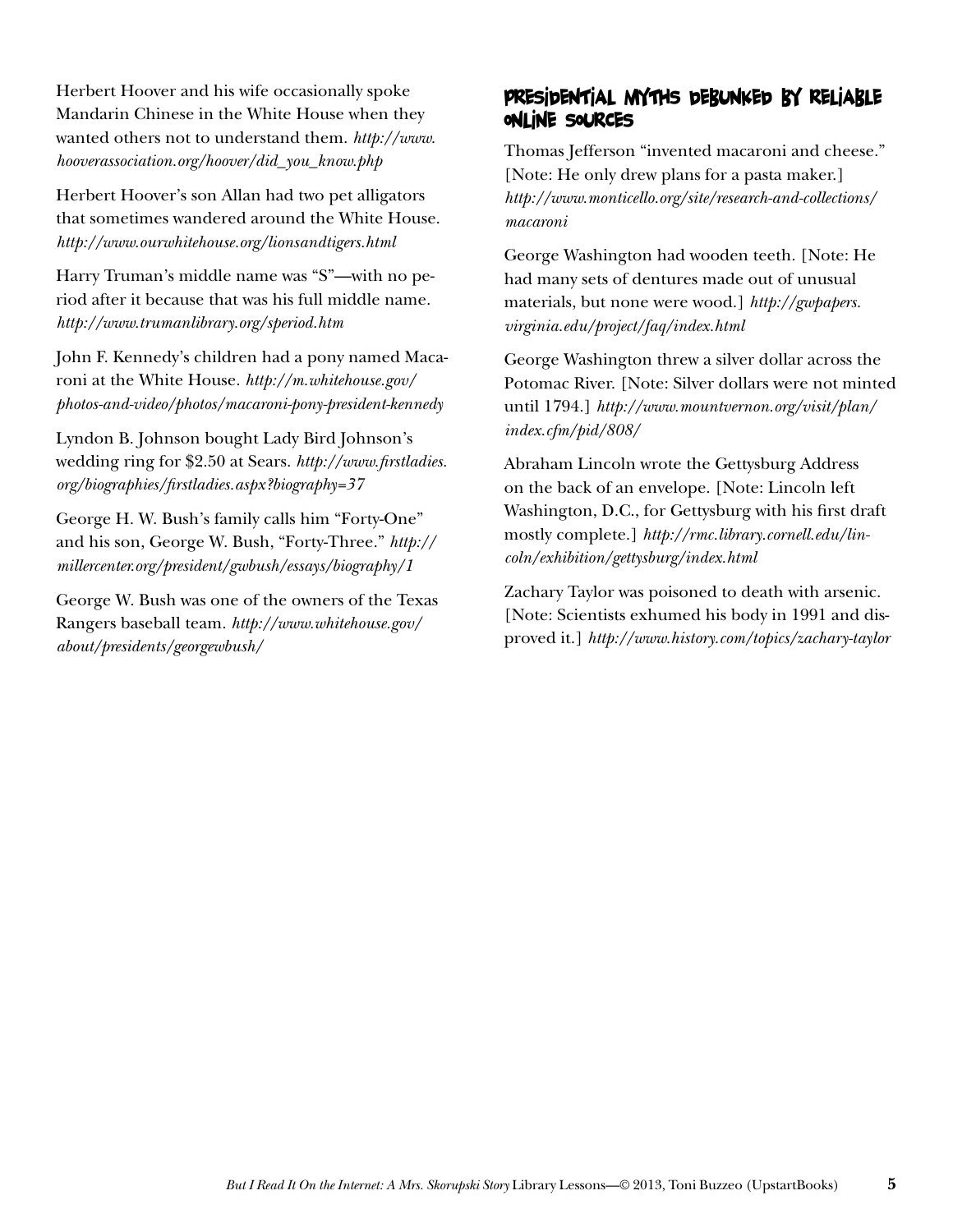Herbert Hoover and his wife occasionally spoke Mandarin Chinese in the White House when they wanted others not to understand them. *http://www. hooverassociation.org/hoover/did\_you\_know.php*

Herbert Hoover's son Allan had two pet alligators that sometimes wandered around the White House. *http://www.ourwhitehouse.org/lionsandtigers.html*

Harry Truman's middle name was "S"—with no period after it because that was his full middle name. *http://www.trumanlibrary.org/speriod.htm*

John F. Kennedy's children had a pony named Macaroni at the White House. *http://m.whitehouse.gov/ photos-and-video/photos/macaroni-pony-president-kennedy*

Lyndon B. Johnson bought Lady Bird Johnson's wedding ring for \$2.50 at Sears. *http://www.firstladies. org/biographies/firstladies.aspx?biography=37*

George H. W. Bush's family calls him "Forty-One" and his son, George W. Bush, "Forty-Three." *http:// millercenter.org/president/gwbush/essays/biography/1*

George W. Bush was one of the owners of the Texas Rangers baseball team. *http://www.whitehouse.gov/ about/presidents/georgewbush/*

#### Presidential Myths Debunked by Reliable Online Sources

Thomas Jefferson "invented macaroni and cheese." [Note: He only drew plans for a pasta maker.] *http://www.monticello.org/site/research-and-collections/ macaroni*

George Washington had wooden teeth. [Note: He had many sets of dentures made out of unusual materials, but none were wood.] *http://gwpapers. virginia.edu/project/faq/index.html*

George Washington threw a silver dollar across the Potomac River. [Note: Silver dollars were not minted until 1794.] *http://www.mountvernon.org/visit/plan/ index.cfm/pid/808/*

Abraham Lincoln wrote the Gettysburg Address on the back of an envelope. [Note: Lincoln left Washington, D.C., for Gettysburg with his first draft mostly complete.] *http://rmc.library.cornell.edu/lincoln/exhibition/gettysburg/index.html*

Zachary Taylor was poisoned to death with arsenic. [Note: Scientists exhumed his body in 1991 and disproved it.] *http://www.history.com/topics/zachary-taylor*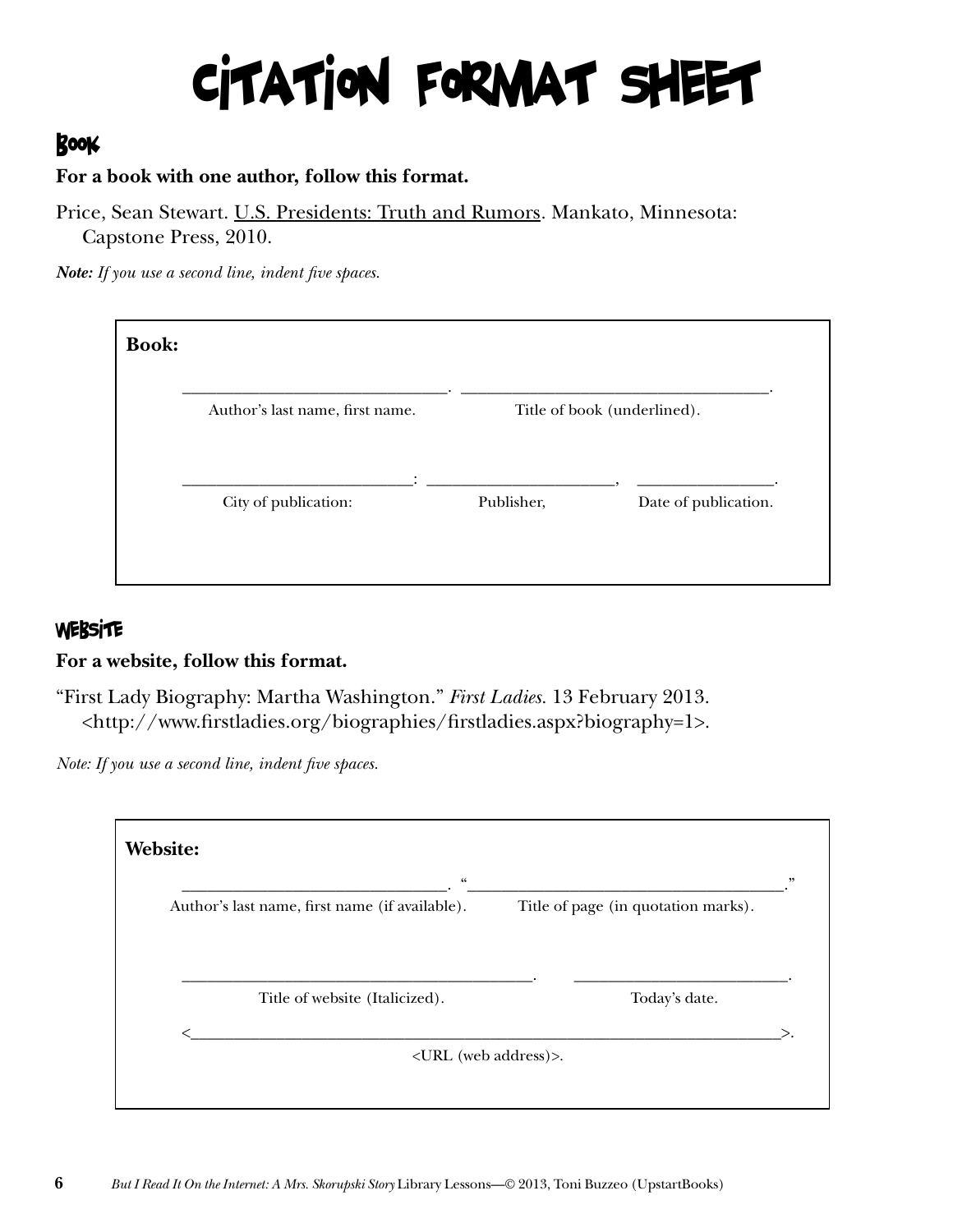# Citation Format Sheet

### BOOK

#### **For a book with one author, follow this format.**

Price, Sean Stewart. U.S. Presidents: Truth and Rumors*.* Mankato, Minnesota: Capstone Press, 2010.

*Note: If you use a second line, indent five spaces.*

| Author's last name, first name. | Title of book (underlined). |  |  |
|---------------------------------|-----------------------------|--|--|
| ٠                               | Publisher,                  |  |  |

#### **WEBSITE**

#### **For a website, follow this format.**

"First Lady Biography: Martha Washington." *First Ladies.* 13 February 2013. <http://www.firstladies.org/biographies/firstladies.aspx?biography=1>.

*Note: If you use a second line, indent five spaces.* 

| $\boldsymbol{\varsigma} \boldsymbol{\varsigma}$ |                                     |  |
|-------------------------------------------------|-------------------------------------|--|
| Author's last name, first name (if available).  | Title of page (in quotation marks). |  |
|                                                 |                                     |  |
|                                                 |                                     |  |
| Title of website (Italicized).                  | Today's date.                       |  |
|                                                 |                                     |  |
| <url (web="" address)="">.</url>                |                                     |  |